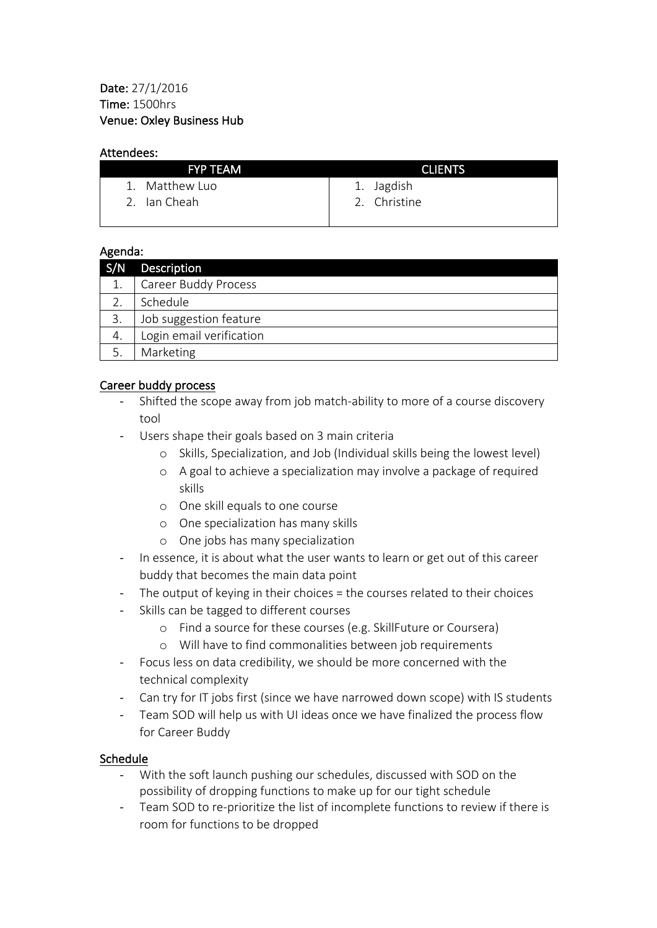#### Attendees:

| <b>FYP TEAM</b> | <b>CLIENTS</b> |  |
|-----------------|----------------|--|
| 1. Matthew Luo  | 1. Jagdish     |  |
| 2. Ian Cheah    | 2. Christine   |  |
|                 |                |  |

### Agenda:

| S/N | <b>Description</b>          |
|-----|-----------------------------|
| 1.  | <b>Career Buddy Process</b> |
|     | Schedule                    |
| 3.  | Job suggestion feature      |
| 4.  | Login email verification    |
| 5.  | Marketing                   |

# Career buddy process

- Shifted the scope away from job match-ability to more of a course discovery tool
- Users shape their goals based on 3 main criteria
	- o Skills, Specialization, and Job (Individual skills being the lowest level)
	- o A goal to achieve a specialization may involve a package of required skills
	- o One skill equals to one course
	- $\circ$  One specialization has many skills
	- $\circ$  One jobs has many specialization
- In essence, it is about what the user wants to learn or get out of this career buddy that becomes the main data point
- The output of keying in their choices = the courses related to their choices
- Skills can be tagged to different courses
	- o Find a source for these courses (e.g. SkillFuture or Coursera)
	- o Will have to find commonalities between job requirements
- Focus less on data credibility, we should be more concerned with the technical complexity
- Can try for IT jobs first (since we have narrowed down scope) with IS students
- Team SOD will help us with UI ideas once we have finalized the process flow for Career Buddy

### Schedule

- With the soft launch pushing our schedules, discussed with SOD on the possibility of dropping functions to make up for our tight schedule
- Team SOD to re-prioritize the list of incomplete functions to review if there is room for functions to be dropped